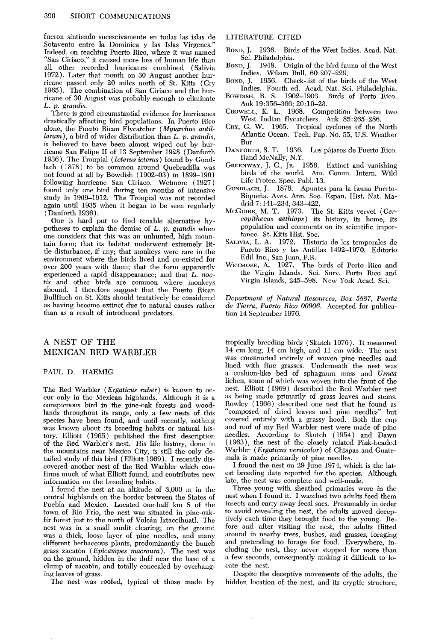**fueron sintiendo sucescivamente en todas las islas de Sotavento entre la Dominica y las Islas Virgenes." Indeed, on reaching Puerto Rico, where it was named "San Ciriaco," it caused more loss of human life than all other recorded hurricanes combined (Salivia 1972). Later that month on 30 August another hurricane passed only 20 miles north of St. Kitts (Cry 1965). The combination of San Ciriaco and the hurricane of 30 August was probably enough to eliminate L. p. grandis.** 

**There is good circumstantial evidence for hurricanes drastically affecting bird populations. In Puerto Rico alone, the Puerto Rican Flycatcher (Myiarchus antil***larum*), a bird of wider distribution than L. p. grandis, **is believed to have been almost wiped out by hur**ricane San Felipe II of 13 September 1928 (Danforth 1936). The Troupial (Icterus icterus) found by Gund**lath (1878) to be common around Quebradilla was not found at all by Bowdish (1902-03) in 1899-1901 following hurricane San Ciriaco. Wetmore (1927) found only one bird during ten months of intensive study in 1909-1912. The Troupial was not recorded again until 1935 when it began to be seen regularly (Danforth 1936).** 

**One is hard put to find tenable alternative hypotheses to explain the demise of L. p. grandis when one considers that this was an unhunted, high mountain form; that its habitat underwent extremely little disturbance, if any; that monkeys were rare in the environment where the birds lived and co-existed for over 200 years with them; that the form apparently experienced a rapid disappearance; and that L. noctis and other birds are common where monkeys abound. I therefore suggest that the Puerto Rican Bullfinch on St. Kitts should tentatively be considered as having become extinct due to natural causes rather than as a result of introduced predators.** 

# **A NEST OF THE MEXICAN RED WARBLER**

### **PAUL D. HAEMIG**

**The Red Warbler (Ergaticus ruber) is known to occur only in the Mexican highlands. Although it is a conspicuous bird in the pine-oak forests and woodlands throughout its range, only a few nests of this species have been found, and until recently, nothing was known about its breeding habits or natural history. Elliott (1965) published the first description**  of the Red Warbler's nest. His life history, done in **the mountains near Mexico City, is still the only detailed study of this bird (Elliott 1969). I recently discovered another nest of the Red Warbler which confirms much of what Elliott found, and contributes new information on the breeding habits.** 

**I found the nest at an altitude of 3,000 m in the central highlands on the border between the States of**  Puebla and Mexico. Located one-half km S of the **town of Rio Frio, the nest was situated in pine-oak**fir forest just to the north of Volcán Ixtaccíhuatl. The **nest was in a small sunlit clearing; on the ground was a thick, loose layer of pine needles, and many different herbaceous plants, predominantly the bunch**  grass zacatón (*Epicampes macroura*). The nest was on the ground, hidden in the duff near the base of a clump of zacatón, and totally concealed by overhang**ing leaves of grass.** 

**The nest was roofed, typical of those made by** 

#### **LITERATURE CITED**

- **BOND, J. 1936. Birds of the West Indies. Acad. Nat. Sci. Philadelphia.**
- **BOND, J. 1948. Origin of the bird fauna of the West Indies. Wilson Bull. 60:207-229.**
- **BOND, J. 1956. Check-list of the birds of the West Indies. Fourth ed. Acad. Nat. Sci. Philadelphia.**
- **BOWDISH, B. S. 1902-1903. Birds of Porto Rico.**  Auk 19:356-366; 20:10-23.
- **CROWELL, K. L. 1968. Competition between two West Indian flycatchers. Auk 85:265-286.**
- **CRY, G. W. 1965. Tropical cyclones of the North Atlantic Ocean. Tech. Pap. No. 55, U.S. Weather Bur.**
- **DANFORTH, S. T. 1936. Los pajaros de Puerto Rico. Rand McNally, N.Y.**
- **GREENWAY, J. C., JR. 1958. Extinct and vanishing birds of the world. Am. Comm. Intern. Wild Life Protec. Spec. Publ. 13.**
- **GUNDLACH, J. 1878. Apuntes para la fauna Puerto-**Riqueña. Aves. Ann. Soc. Espan. Hist. Nat. Madrid 7:141-234, 343-422.
- **MCGUIRE, M. T. 1973. The St. Kitts vervet (Cercopithecus aethiops) its history, its home, its population and comments on its scientific impor**tance. St. Kitts Hist. Soc.
- **SALIVIA, L. A. 1972. Historia de 10s temporales de Puerto Rico y las Antillas 1492-1970. Editorio Edil Inc., San Juan, P.R.**
- **WETMORE, A. 1927. The birds of Porto Rico and the Virgin Islands. Sci. Surv. Porto Rico and**  Virgin Islands, 245–598. New York Acad. Sci.

**Department of Natural Resources, Box 5887, Puerta de Tierra, Puerto Rico 00906. Accepted for publication 14 September 1976.** 

**tropically breeding birds (Skutch 1976). It measured 14 cm long, 14 cm high, and 11 cm wide. The nest was constructed entirely of woven pine needles and lined with fine grasses. Underneath the nest was a cushion-like bed of sphagnum moss and Usnea**  lichen, some of which was woven into the front of the **nest. Elliott ( 1969) described the Red Warbler nest , as being made primarily of grass leaves and stems. Rowley (1966) described one nest that he found as "composed of dried leaves and pine needles" but covered entirely with a grassy hood. Both the cup and roof of my Red Warbler nest were made of pine needles. According to Skutch (1954) and Dawn ( 1963), the nest of the closely related Pink-headed Warbler (Ergaticus uersicolor) of Chiapas and Guatemala is made primarily of pine needles.** 

**I found the nest on 29 June 1974, which is the latest breeding date reported for the species. Although late, the nest was complete and well-made.** 

**Three young with sheathed primaries were in the nest when I found it. I watched two adults feed them insects and carry away fecal sacs. Presumably in order to avoid revealing the nest, the adults moved deceptively each time they brought food to the young. Before and after visiting the nest, the adults flitted around in nearby trees, bushes, and grasses, foraging and pretending to forage for food. Everywhere, including the nest, they never stopped for more than a few seconds, consequently making it difficult to locate the nest.** 

**Despite the deceptive movements of the adults, the hidden location of the nest, and its cryptic structure,**